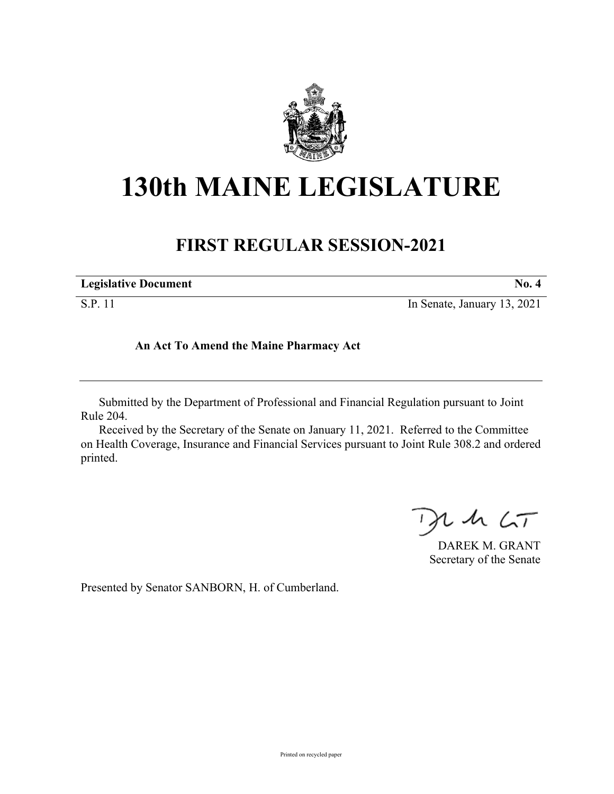

## **130th MAINE LEGISLATURE**

## **FIRST REGULAR SESSION-2021**

| <b>Legislative Document</b> |  |
|-----------------------------|--|
|                             |  |

S.P. 11 In Senate, January 13, 2021

## **An Act To Amend the Maine Pharmacy Act**

Submitted by the Department of Professional and Financial Regulation pursuant to Joint Rule 204.

Received by the Secretary of the Senate on January 11, 2021. Referred to the Committee on Health Coverage, Insurance and Financial Services pursuant to Joint Rule 308.2 and ordered printed.

 $L$  sh  $\zeta_{\mathcal{T}}$ 

DAREK M. GRANT Secretary of the Senate

Presented by Senator SANBORN, H. of Cumberland.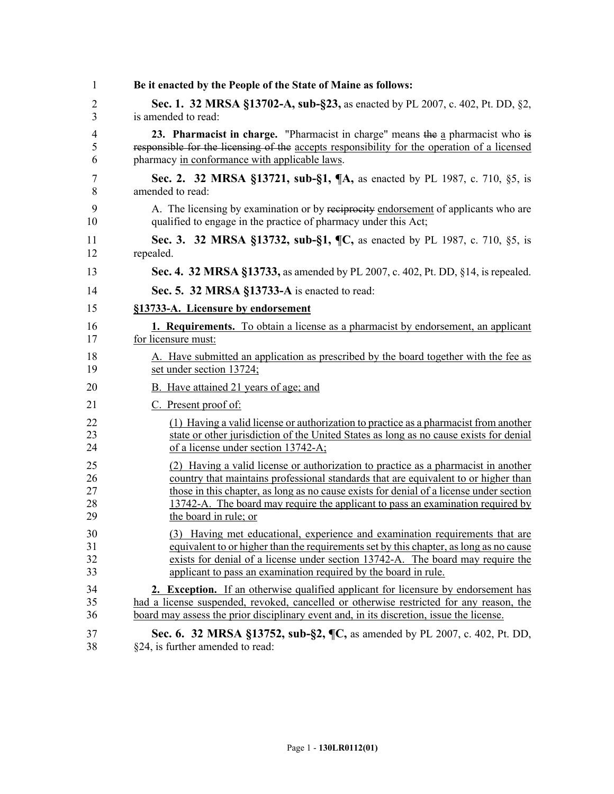| 1  | Be it enacted by the People of the State of Maine as follows:                               |
|----|---------------------------------------------------------------------------------------------|
| 2  | Sec. 1. 32 MRSA §13702-A, sub-§23, as enacted by PL 2007, c. 402, Pt. DD, §2,               |
| 3  | is amended to read:                                                                         |
| 4  | 23. Pharmacist in charge. "Pharmacist in charge" means the a pharmacist who is              |
| 5  | responsible for the licensing of the accepts responsibility for the operation of a licensed |
| 6  | pharmacy in conformance with applicable laws.                                               |
| 7  | Sec. 2. 32 MRSA §13721, sub-§1, ¶A, as enacted by PL 1987, c. 710, §5, is                   |
| 8  | amended to read:                                                                            |
| 9  | A. The licensing by examination or by reciprocity endorsement of applicants who are         |
| 10 | qualified to engage in the practice of pharmacy under this Act;                             |
| 11 | Sec. 3. 32 MRSA §13732, sub-§1, ¶C, as enacted by PL 1987, c. 710, §5, is                   |
| 12 | repealed.                                                                                   |
| 13 | Sec. 4. 32 MRSA §13733, as amended by PL 2007, c. 402, Pt. DD, §14, is repealed.            |
| 14 | Sec. 5. 32 MRSA §13733-A is enacted to read:                                                |
| 15 | §13733-A. Licensure by endorsement                                                          |
| 16 | <b>1. Requirements.</b> To obtain a license as a pharmacist by endorsement, an applicant    |
| 17 | for licensure must:                                                                         |
| 18 | A. Have submitted an application as prescribed by the board together with the fee as        |
| 19 | set under section 13724;                                                                    |
| 20 | B. Have attained 21 years of age; and                                                       |
| 21 | C. Present proof of:                                                                        |
| 22 | (1) Having a valid license or authorization to practice as a pharmacist from another        |
| 23 | state or other jurisdiction of the United States as long as no cause exists for denial      |
| 24 | of a license under section 13742-A;                                                         |
| 25 | (2) Having a valid license or authorization to practice as a pharmacist in another          |
| 26 | country that maintains professional standards that are equivalent to or higher than         |
| 27 | those in this chapter, as long as no cause exists for denial of a license under section     |
| 28 | 13742-A. The board may require the applicant to pass an examination required by             |
| 29 | the board in rule; or                                                                       |
| 30 | (3) Having met educational, experience and examination requirements that are                |
| 31 | equivalent to or higher than the requirements set by this chapter, as long as no cause      |
| 32 | exists for denial of a license under section 13742-A. The board may require the             |
| 33 | applicant to pass an examination required by the board in rule.                             |
| 34 | <b>2.</b> Exception. If an otherwise qualified applicant for licensure by endorsement has   |
| 35 | had a license suspended, revoked, cancelled or otherwise restricted for any reason, the     |
| 36 | board may assess the prior disciplinary event and, in its discretion, issue the license.    |
| 37 | Sec. 6. 32 MRSA §13752, sub-§2, ¶C, as amended by PL 2007, c. 402, Pt. DD,                  |
| 38 | §24, is further amended to read:                                                            |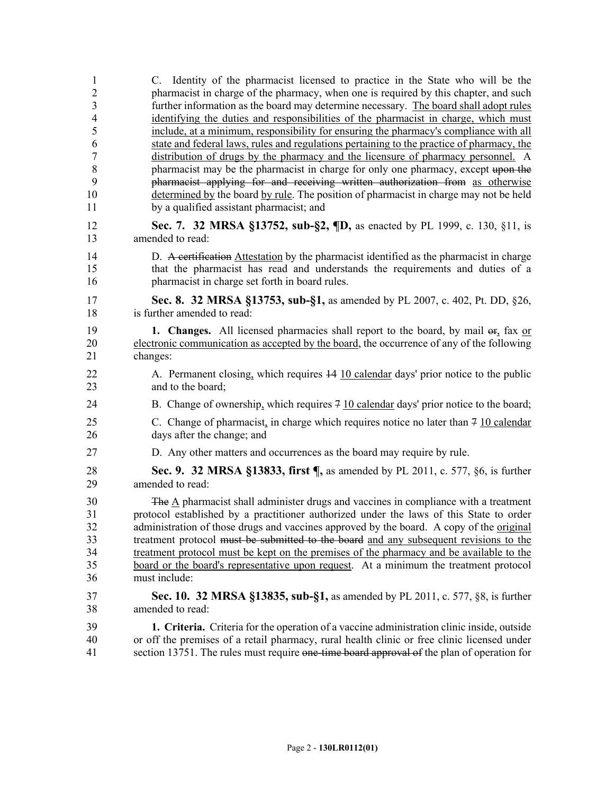| $\mathbf{1}$        | C. Identity of the pharmacist licensed to practice in the State who will be the                                                                                                           |
|---------------------|-------------------------------------------------------------------------------------------------------------------------------------------------------------------------------------------|
| $\overline{2}$<br>3 | pharmacist in charge of the pharmacy, when one is required by this chapter, and such<br>further information as the board may determine necessary. The board shall adopt rules             |
| $\overline{4}$      | identifying the duties and responsibilities of the pharmacist in charge, which must                                                                                                       |
| 5                   | include, at a minimum, responsibility for ensuring the pharmacy's compliance with all                                                                                                     |
| 6                   | state and federal laws, rules and regulations pertaining to the practice of pharmacy, the                                                                                                 |
| $\overline{7}$      | distribution of drugs by the pharmacy and the licensure of pharmacy personnel. A                                                                                                          |
| 8                   | pharmacist may be the pharmacist in charge for only one pharmacy, except upon the                                                                                                         |
| 9                   | pharmacist applying for and receiving written authorization from as otherwise                                                                                                             |
| 10<br>11            | determined by the board by rule. The position of pharmacist in charge may not be held<br>by a qualified assistant pharmacist; and                                                         |
|                     |                                                                                                                                                                                           |
| 12<br>13            | Sec. 7. 32 MRSA §13752, sub-§2, ¶D, as enacted by PL 1999, c. 130, §11, is<br>amended to read:                                                                                            |
| 14                  | D. A certification Attestation by the pharmacist identified as the pharmacist in charge                                                                                                   |
| 15<br>16            | that the pharmacist has read and understands the requirements and duties of a<br>pharmacist in charge set forth in board rules.                                                           |
|                     |                                                                                                                                                                                           |
| 17<br>18            | Sec. 8. 32 MRSA §13753, sub-§1, as amended by PL 2007, c. 402, Pt. DD, §26,<br>is further amended to read:                                                                                |
| 19                  | <b>1. Changes.</b> All licensed pharmacies shall report to the board, by mail $\Theta$ <sub>1</sub> fax or                                                                                |
| 20                  | electronic communication as accepted by the board, the occurrence of any of the following                                                                                                 |
| 21                  | changes:                                                                                                                                                                                  |
| 22<br>23            | A. Permanent closing, which requires 44 10 calendar days' prior notice to the public<br>and to the board;                                                                                 |
| 24                  | B. Change of ownership, which requires $\frac{7}{2}$ 10 calendar days' prior notice to the board;                                                                                         |
| 25<br>26            | C. Change of pharmacist, in charge which requires notice no later than $7\overline{10}$ calendar<br>days after the change; and                                                            |
| 27                  | D. Any other matters and occurrences as the board may require by rule.                                                                                                                    |
| 28<br>29            | <b>Sec. 9. 32 MRSA §13833, first <math>\P</math></b> , as amended by PL 2011, c. 577, §6, is further<br>amended to read:                                                                  |
| 30                  | The $\underline{A}$ pharmacist shall administer drugs and vaccines in compliance with a treatment                                                                                         |
| 31                  | protocol established by a practitioner authorized under the laws of this State to order                                                                                                   |
| 32                  | administration of those drugs and vaccines approved by the board. A copy of the original                                                                                                  |
| 33                  | treatment protocol must be submitted to the board and any subsequent revisions to the                                                                                                     |
| 34                  | treatment protocol must be kept on the premises of the pharmacy and be available to the                                                                                                   |
| 35<br>36            | board or the board's representative upon request. At a minimum the treatment protocol<br>must include:                                                                                    |
|                     |                                                                                                                                                                                           |
| 37                  | Sec. 10. 32 MRSA §13835, sub-§1, as amended by PL 2011, c. 577, §8, is further                                                                                                            |
| 38                  | amended to read:                                                                                                                                                                          |
| 39<br>40            | 1. Criteria. Criteria for the operation of a vaccine administration clinic inside, outside<br>or off the premises of a retail pharmacy, rural health clinic or free clinic licensed under |
| 41                  | section 13751. The rules must require one-time board approval of the plan of operation for                                                                                                |